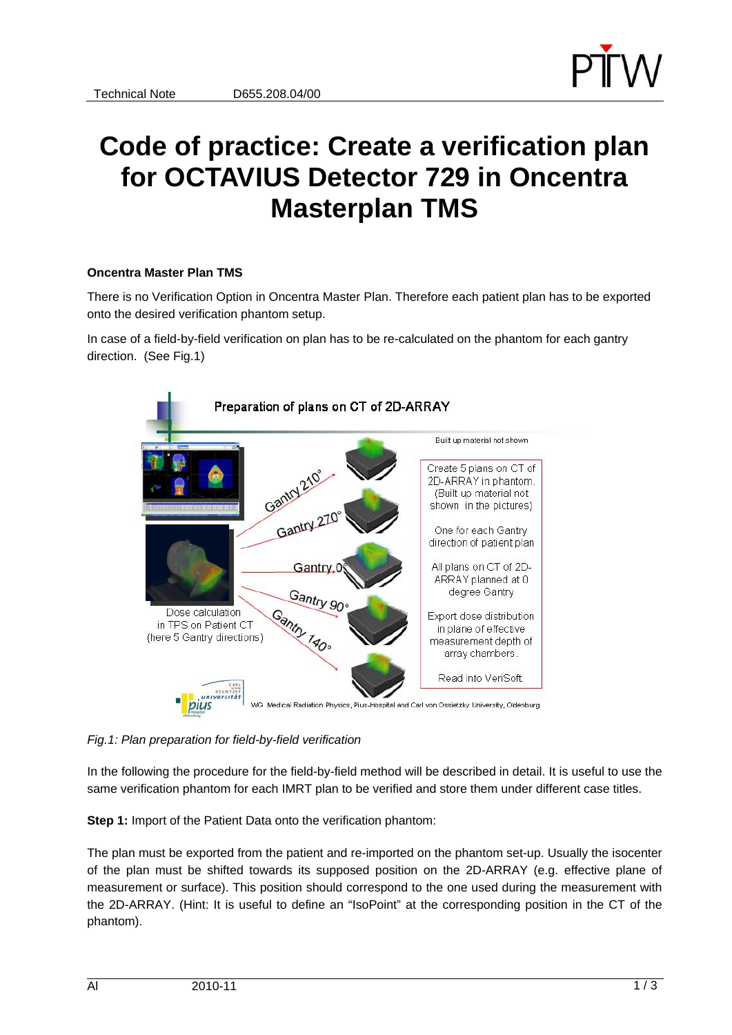

## **Code of practice: Create a verification plan for OCTAVIUS Detector 729 in Oncentra Masterplan TMS**

## **Oncentra Master Plan TMS**

There is no Verification Option in Oncentra Master Plan. Therefore each patient plan has to be exported onto the desired verification phantom setup.

In case of a field-by-field verification on plan has to be re-calculated on the phantom for each gantry direction. (See Fig.1)



*Fig.1: Plan preparation for field-by-field verification* 

In the following the procedure for the field-by-field method will be described in detail. It is useful to use the same verification phantom for each IMRT plan to be verified and store them under different case titles.

**Step 1:** Import of the Patient Data onto the verification phantom:

The plan must be exported from the patient and re-imported on the phantom set-up. Usually the isocenter of the plan must be shifted towards its supposed position on the 2D-ARRAY (e.g. effective plane of measurement or surface). This position should correspond to the one used during the measurement with the 2D-ARRAY. (Hint: It is useful to define an "IsoPoint" at the corresponding position in the CT of the phantom).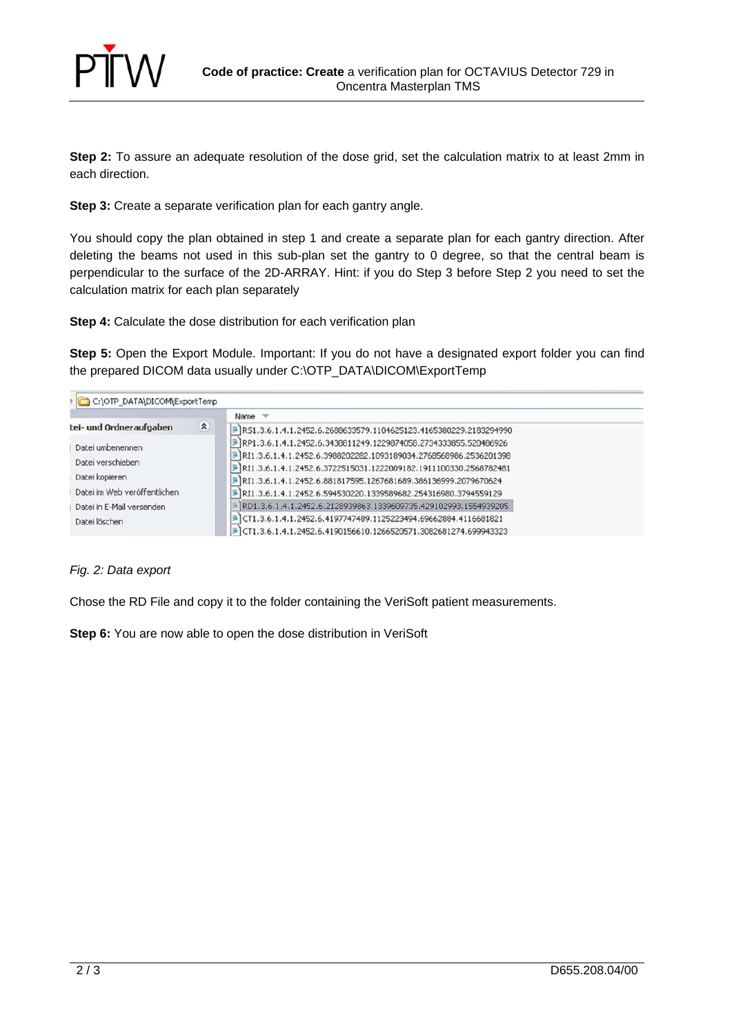

**Step 2:** To assure an adequate resolution of the dose grid, set the calculation matrix to at least 2mm in each direction.

**Step 3:** Create a separate verification plan for each gantry angle.

You should copy the plan obtained in step 1 and create a separate plan for each gantry direction. After deleting the beams not used in this sub-plan set the gantry to 0 degree, so that the central beam is perpendicular to the surface of the 2D-ARRAY. Hint: if you do Step 3 before Step 2 you need to set the calculation matrix for each plan separately

**Step 4:** Calculate the dose distribution for each verification plan

**Step 5:** Open the Export Module. Important: If you do not have a designated export folder you can find the prepared DICOM data usually under C:\OTP\_DATA\DICOM\ExportTemp

| C:\OTP_DATA\DICOM\ExportTemp                              |   |                                                                                                                                        |
|-----------------------------------------------------------|---|----------------------------------------------------------------------------------------------------------------------------------------|
| tei- und Ordneraufgaben                                   | 奕 | Name $\equiv$<br>R51.3.6.1.4.1.2452.6.2688633579.1104625123.4165380229.2183294990                                                      |
| Datei umbenennen<br>Datei verschieben<br>Datei kopieren   |   | RP1.3.6.1.4.1.2452.6.3438811249.1229874058.2734333855.520486926                                                                        |
|                                                           |   | RI1.3.6.1.4.1.2452.6.3988202282.1093189034.2768568986.2536201398<br>P RI1.3.6.1.4.1.2452.6.3722515031.1222009182.1911100330.2568782481 |
|                                                           |   | P RI1.3.6.1.4.1.2452.6.881817595.1267681689.386136999.2079670624                                                                       |
| Datei im Web veröffentlichen<br>Datei in E-Mail versenden |   | RI1.3.6.1.4.1.2452.6.594530220.1339589682.254316980.3794559129<br>RD1.3.6.1.4.1.2452.6.2128939863.1339609735.429102993.1554939205      |
| Datei löschen                                             |   | CT1.3.6.1.4.1.2452.6.4197747489.1125223494.69662884.4116681821                                                                         |
|                                                           |   | CT1.3.6.1.4.1.2452.6.4190156610.1266520571.3082681274.699943323                                                                        |

## *Fig. 2: Data export*

Chose the RD File and copy it to the folder containing the VeriSoft patient measurements.

**Step 6:** You are now able to open the dose distribution in VeriSoft